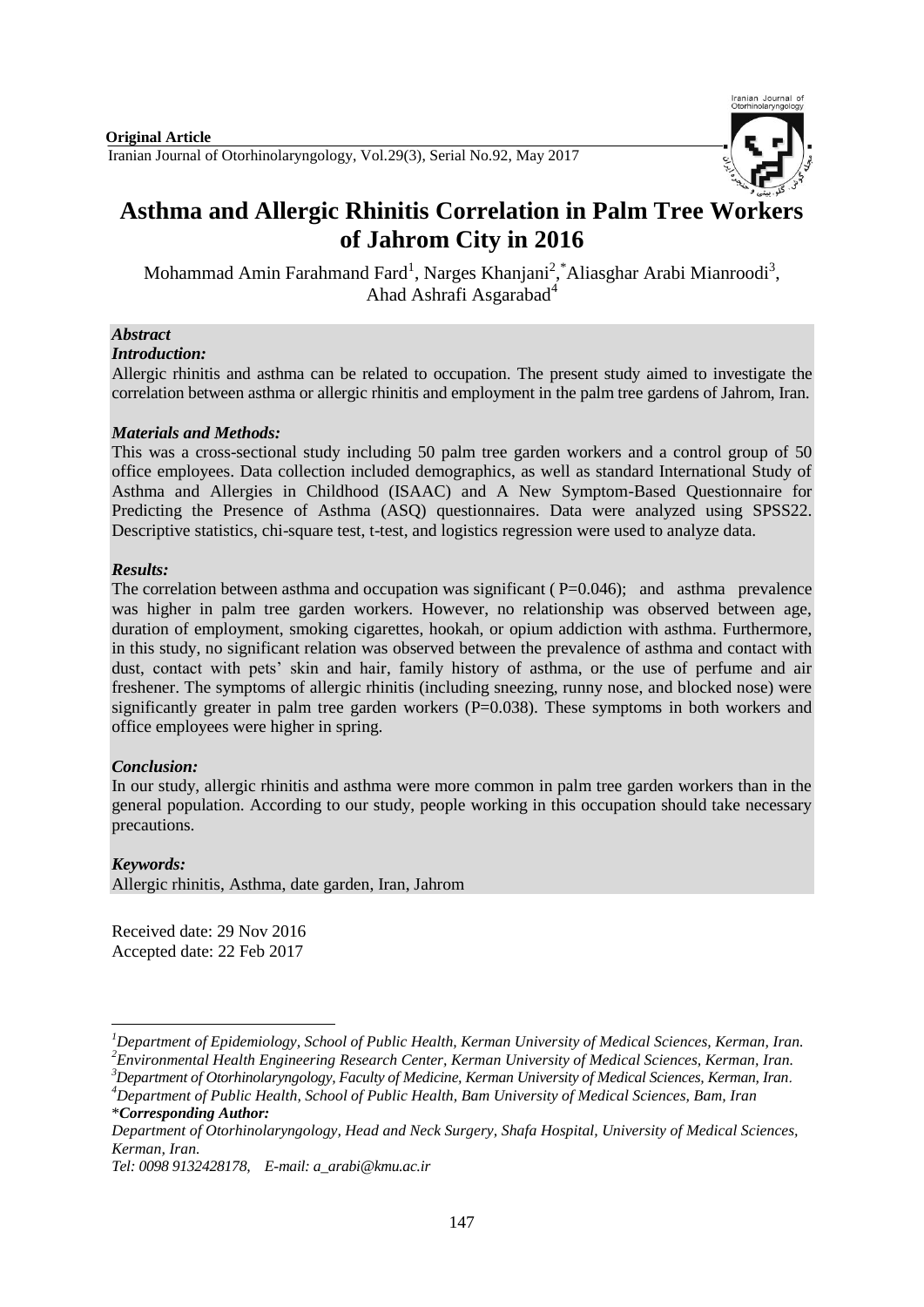

# **Asthma and Allergic Rhinitis Correlation in Palm Tree Workers of Jahrom City in 2016**

Mohammad Amin Farahmand Fard<sup>1</sup>, Narges Khanjani<sup>2</sup>, \*Aliasghar Arabi Mianroodi<sup>3</sup>, Ahad Ashrafi Asgarabad<sup>4</sup>

# *Abstract*

#### *Introduction:*

Allergic rhinitis and asthma can be related to occupation. The present study aimed to investigate the correlation between asthma or allergic rhinitis and employment in the palm tree gardens of Jahrom, Iran.

#### *Materials and Methods:*

This was a cross-sectional study including 50 palm tree garden workers and a control group of 50 office employees. Data collection included demographics, as well as standard International Study of Asthma and Allergies in Childhood (ISAAC) and A New Symptom-Based Questionnaire for Predicting the Presence of Asthma (ASQ) questionnaires. Data were analyzed using SPSS22. Descriptive statistics, chi-square test, t-test, and logistics regression were used to analyze data.

### *Results:*

The correlation between asthma and occupation was significant ( $P=0.046$ ); and asthma prevalence was higher in palm tree garden workers. However, no relationship was observed between age, duration of employment, smoking cigarettes, hookah, or opium addiction with asthma. Furthermore, in this study, no significant relation was observed between the prevalence of asthma and contact with dust, contact with pets' skin and hair, family history of asthma, or the use of perfume and air freshener. The symptoms of allergic rhinitis (including sneezing, runny nose, and blocked nose) were significantly greater in palm tree garden workers  $(P=0.038)$ . These symptoms in both workers and office employees were higher in spring.

#### *Conclusion:*

In our study, allergic rhinitis and asthma were more common in palm tree garden workers than in the general population. According to our study, people working in this occupation should take necessary precautions.

# *Keywords:*

1

Allergic rhinitis, Asthma, date garden, Iran, Jahrom

Received date: 29 Nov 2016 Accepted date: 22 Feb 2017

*<sup>1</sup>Department of Epidemiology, School of Public Health, Kerman University of Medical Sciences, Kerman, Iran. <sup>2</sup>Environmental Health Engineering Research Center, Kerman University of Medical Sciences, Kerman, Iran.* 

*<sup>3</sup>Department of Otorhinolaryngology, Faculty of Medicine, Kerman University of Medical Sciences, Kerman, Iran*. *<sup>4</sup>Department of Public Health, School of Public Health, Bam University of Medical Sciences, Bam, Iran*

<sup>\*</sup>*Corresponding Author:*

*Department of Otorhinolaryngology, Head and Neck Surgery, Shafa Hospital, University of Medical Sciences, Kerman, Iran.* 

*Tel: 0098 9132428178, E-mail: a\_arabi@kmu.ac.ir*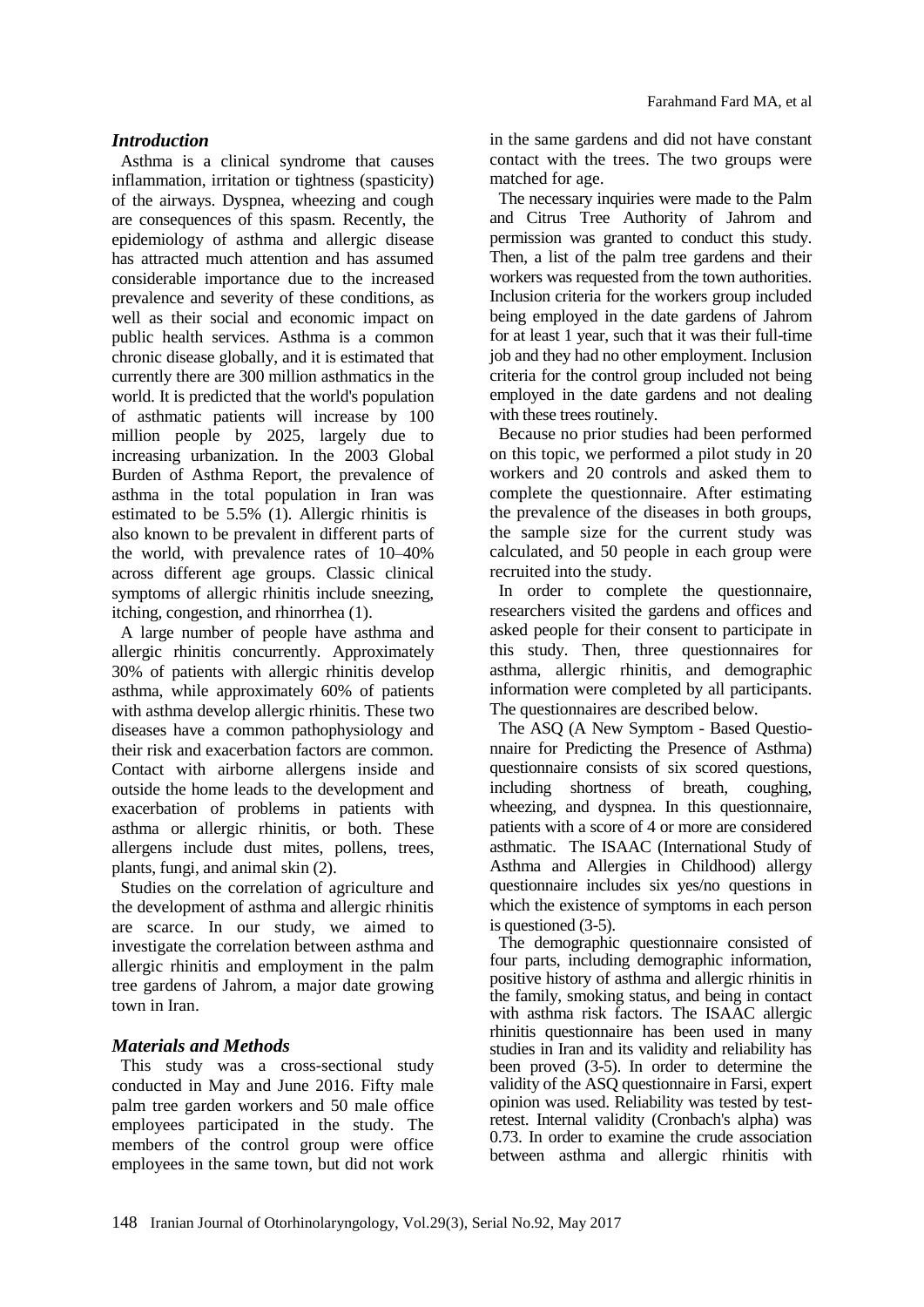### *Introduction*

Asthma is a clinical syndrome that causes inflammation, irritation or tightness (spasticity) of the airways. Dyspnea, wheezing and cough are consequences of this spasm. Recently, the epidemiology of asthma and allergic disease has attracted much attention and has assumed considerable importance due to the increased prevalence and severity of these conditions, as well as their social and economic impact on public health services. Asthma is a common chronic disease globally, and it is estimated that currently there are 300 million asthmatics in the world. It is predicted that the world's population of asthmatic patients will increase by 100 million people by 2025, largely due to increasing urbanization. In the 2003 Global Burden of Asthma Report, the prevalence of asthma in the total population in Iran was estimated to be 5.5% (1). Allergic rhinitis is also known to be prevalent in different parts of the world, with prevalence rates of 10–40% across different age groups. Classic clinical symptoms of allergic rhinitis include sneezing, itching, congestion, and rhinorrhea (1).

A large number of people have asthma and allergic rhinitis concurrently. Approximately 30% of patients with allergic rhinitis develop asthma, while approximately 60% of patients with asthma develop allergic rhinitis. These two diseases have a common pathophysiology and their risk and exacerbation factors are common. Contact with airborne allergens inside and outside the home leads to the development and exacerbation of problems in patients with asthma or allergic rhinitis, or both. These allergens include dust mites, pollens, trees, plants, fungi, and animal skin (2).

Studies on the correlation of agriculture and the development of asthma and allergic rhinitis are scarce. In our study, we aimed to investigate the correlation between asthma and allergic rhinitis and employment in the palm tree gardens of Jahrom, a major date growing town in Iran.

#### *Materials and Methods*

This study was a cross-sectional study conducted in May and June 2016. Fifty male palm tree garden workers and 50 male office employees participated in the study. The members of the control group were office employees in the same town, but did not work in the same gardens and did not have constant contact with the trees. The two groups were matched for age.

The necessary inquiries were made to the Palm and Citrus Tree Authority of Jahrom and permission was granted to conduct this study. Then, a list of the palm tree gardens and their workers was requested from the town authorities. Inclusion criteria for the workers group included being employed in the date gardens of Jahrom for at least 1 year, such that it was their full-time job and they had no other employment. Inclusion criteria for the control group included not being employed in the date gardens and not dealing with these trees routinely.

Because no prior studies had been performed on this topic, we performed a pilot study in 20 workers and 20 controls and asked them to complete the questionnaire. After estimating the prevalence of the diseases in both groups, the sample size for the current study was calculated, and 50 people in each group were recruited into the study.

In order to complete the questionnaire, researchers visited the gardens and offices and asked people for their consent to participate in this study. Then, three questionnaires for asthma, allergic rhinitis, and demographic information were completed by all participants. The questionnaires are described below.

The ASQ (A New Symptom - Based Questionnaire for Predicting the Presence of Asthma) questionnaire consists of six scored questions, including shortness of breath, coughing, wheezing, and dyspnea. In this questionnaire, patients with a score of 4 or more are considered asthmatic. The ISAAC (International Study of Asthma and Allergies in Childhood) allergy questionnaire includes six yes/no questions in which the existence of symptoms in each person is questioned (3-5).

The demographic questionnaire consisted of four parts, including demographic information, positive history of asthma and allergic rhinitis in the family, smoking status, and being in contact with asthma risk factors. The ISAAC allergic rhinitis questionnaire has been used in many studies in Iran and its validity and reliability has been proved (3-5). In order to determine the validity of the ASQ questionnaire in Farsi, expert opinion was used. Reliability was tested by testretest. Internal validity (Cronbach's alpha) was 0.73. In order to examine the crude association between asthma and allergic rhinitis with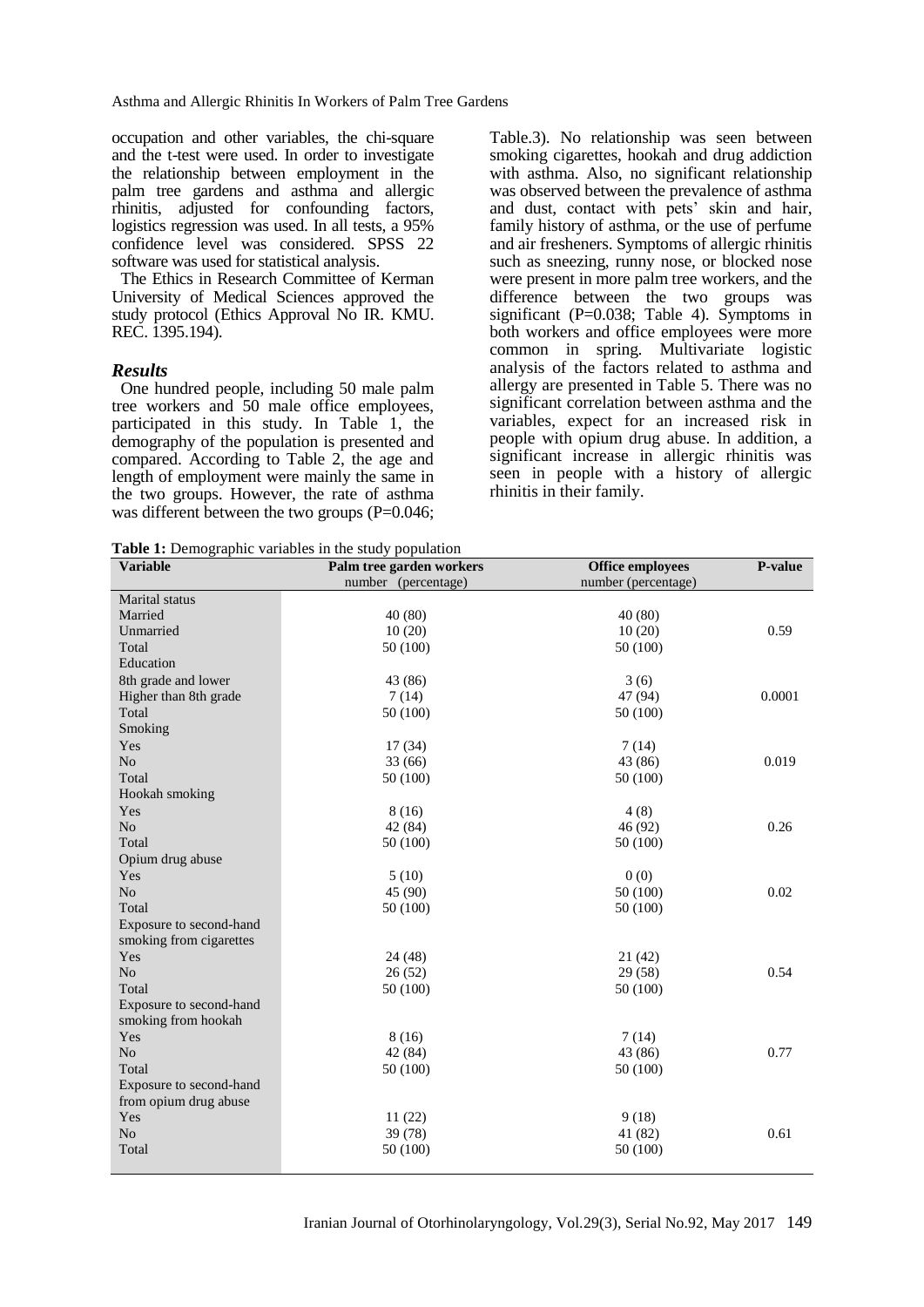Asthma and Allergic Rhinitis In Workers of Palm Tree Gardens

occupation and other variables, the chi-square and the t-test were used. In order to investigate the relationship between employment in the palm tree gardens and asthma and allergic rhinitis, adjusted for confounding factors, logistics regression was used. In all tests, a 95% confidence level was considered. SPSS 22 software was used for statistical analysis.

The Ethics in Research Committee of Kerman University of Medical Sciences approved the study protocol (Ethics Approval No IR. KMU. REC. 1395.194).

#### *Results*

One hundred people, including 50 male palm tree workers and 50 male office employees, participated in this study. In Table 1, the demography of the population is presented and compared. According to Table 2, the age and length of employment were mainly the same in the two groups. However, the rate of asthma was different between the two groups (P=0.046;

**Table 1:** Demographic variables in the study population

Table.3). No relationship was seen between smoking cigarettes, hookah and drug addiction with asthma. Also, no significant relationship was observed between the prevalence of asthma and dust, contact with pets' skin and hair, family history of asthma, or the use of perfume and air fresheners. Symptoms of allergic rhinitis such as sneezing, runny nose, or blocked nose were present in more palm tree workers, and the difference between the two groups was significant (P=0.038; Table 4). Symptoms in both workers and office employees were more common in spring. Multivariate logistic analysis of the factors related to asthma and allergy are presented in Table 5. There was no significant correlation between asthma and the variables, expect for an increased risk in people with opium drug abuse. In addition, a significant increase in allergic rhinitis was seen in people with a history of allergic rhinitis in their family.

| <b>Variable</b>         | Palm tree garden workers | <b>Office employees</b> | P-value |
|-------------------------|--------------------------|-------------------------|---------|
|                         | number (percentage)      | number (percentage)     |         |
| Marital status          |                          |                         |         |
| Married                 | 40(80)                   | 40 (80)                 |         |
| Unmarried               | 10(20)                   | 10(20)                  | 0.59    |
| Total                   | 50 (100)                 | 50 (100)                |         |
| Education               |                          |                         |         |
| 8th grade and lower     | 43 (86)                  | 3(6)                    |         |
| Higher than 8th grade   | 7(14)                    | 47 (94)                 | 0.0001  |
| Total                   | 50 (100)                 | 50 (100)                |         |
| Smoking                 |                          |                         |         |
| Yes                     | 17(34)                   | 7(14)                   |         |
| N <sub>o</sub>          | 33 (66)                  | 43 (86)                 | 0.019   |
| Total                   | 50 (100)                 | 50 (100)                |         |
| Hookah smoking          |                          |                         |         |
| Yes                     | 8(16)                    | 4(8)                    |         |
| N <sub>o</sub>          | 42 (84)                  | 46 (92)                 | 0.26    |
| Total                   | 50 (100)                 | 50 (100)                |         |
| Opium drug abuse        |                          |                         |         |
| Yes                     | 5(10)                    | 0(0)                    |         |
| N <sub>o</sub>          | 45 (90)                  | 50 (100)                | 0.02    |
| Total                   | 50 (100)                 | 50 (100)                |         |
| Exposure to second-hand |                          |                         |         |
| smoking from cigarettes |                          |                         |         |
| Yes                     | 24(48)                   | 21(42)                  |         |
| No                      | 26(52)                   | 29 (58)                 | 0.54    |
| Total                   | 50 (100)                 | 50 (100)                |         |
| Exposure to second-hand |                          |                         |         |
| smoking from hookah     |                          |                         |         |
| Yes                     | 8(16)                    | 7(14)                   |         |
| No                      | 42 (84)                  | 43 (86)                 | 0.77    |
| Total                   | 50 (100)                 | 50 (100)                |         |
| Exposure to second-hand |                          |                         |         |
| from opium drug abuse   |                          |                         |         |
| Yes                     | 11(22)                   | 9(18)                   |         |
| N <sub>o</sub>          | 39 (78)                  | 41 (82)                 | 0.61    |
| Total                   | 50 (100)                 | 50 (100)                |         |
|                         |                          |                         |         |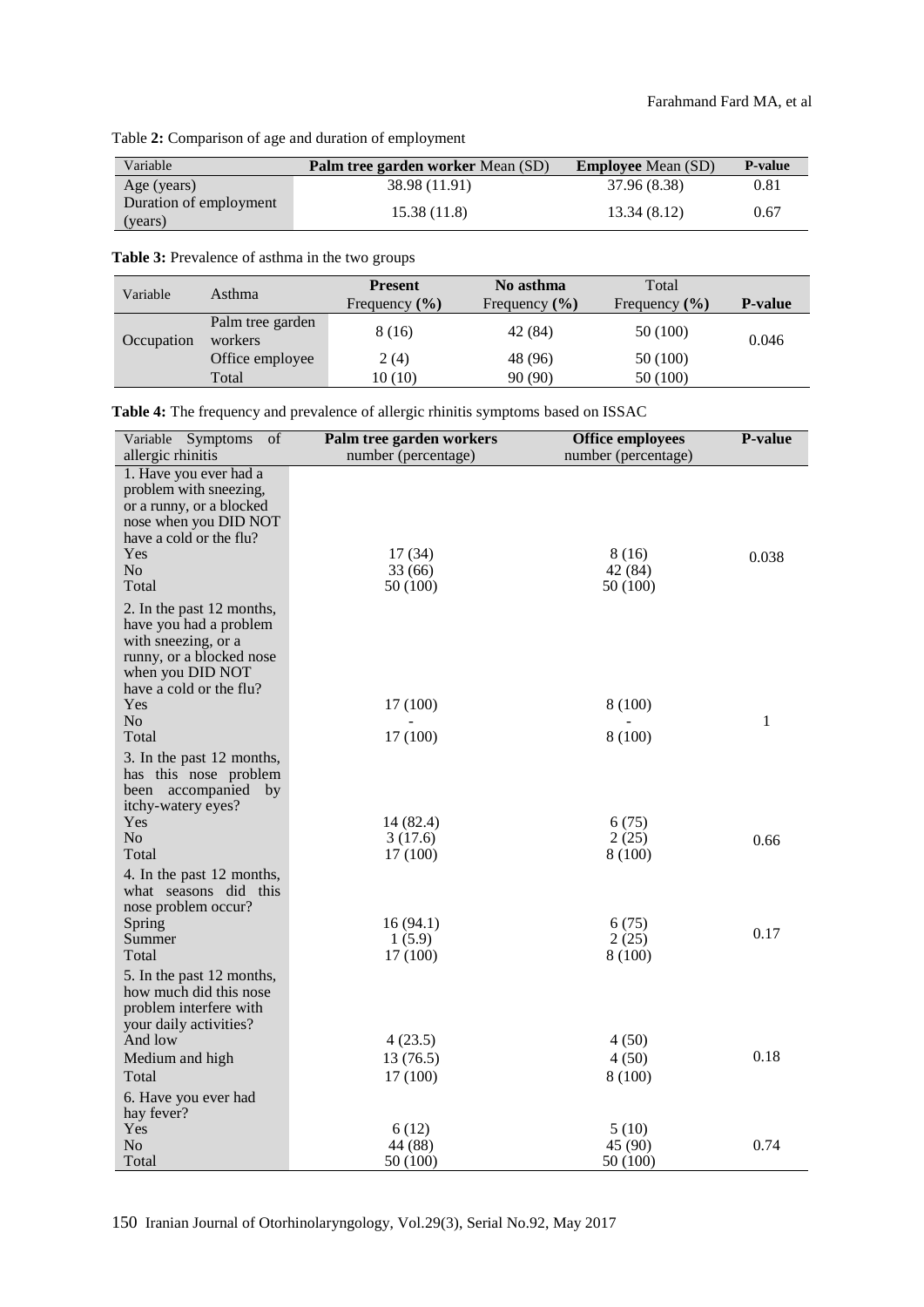#### Table **2:** Comparison of age and duration of employment

| Variable                          | Palm tree garden worker Mean (SD) | <b>Employee</b> Mean (SD) | <b>P</b> -value |
|-----------------------------------|-----------------------------------|---------------------------|-----------------|
| Age (years)                       | 38.98 (11.91)                     | 37.96 (8.38)              | 0.81            |
| Duration of employment<br>(years) | 15.38(11.8)                       | 13.34(8.12)               | 0.67            |

**Table 3:** Prevalence of asthma in the two groups

| Variable   | Asthma                      | <b>Present</b><br>Frequency $(\% )$ | No asthma<br>Frequency $(\% )$ | Total<br>Frequency $(\% )$ | <b>P-value</b> |
|------------|-----------------------------|-------------------------------------|--------------------------------|----------------------------|----------------|
| Occupation | Palm tree garden<br>workers | 8 (16)                              | 42 (84)                        | 50 (100)                   | 0.046          |
|            | Office employee             | 2(4)                                | 48 (96)                        | 50 (100)                   |                |
|            | Total                       | 10 (10)                             | 90 (90)                        | 50 (100)                   |                |

**Table 4:** The frequency and prevalence of allergic rhinitis symptoms based on ISSAC

| Symptoms<br>of<br>Variable<br>allergic rhinitis                                                                                                                        | Palm tree garden workers<br>number (percentage) | <b>Office employees</b><br>number (percentage) | <b>P-value</b> |
|------------------------------------------------------------------------------------------------------------------------------------------------------------------------|-------------------------------------------------|------------------------------------------------|----------------|
| 1. Have you ever had a<br>problem with sneezing,<br>or a runny, or a blocked<br>nose when you DID NOT<br>have a cold or the flu?<br>Yes<br>N <sub>o</sub><br>Total     | 17(34)<br>33 (66)<br>50(100)                    | 8(16)<br>42 (84)<br>50 (100)                   | 0.038          |
| 2. In the past 12 months,<br>have you had a problem<br>with sneezing, or a<br>runny, or a blocked nose<br>when you DID NOT<br>have a cold or the flu?<br>Yes           | 17 (100)                                        | 8 (100)                                        |                |
| No<br>Total<br>3. In the past 12 months,                                                                                                                               | 17(100)                                         | 8 (100)                                        | $\mathbf{1}$   |
| has this nose problem<br>been accompanied by<br>itchy-watery eyes?<br>Yes<br>N <sub>o</sub><br>Total                                                                   | 14 (82.4)<br>3(17.6)<br>17(100)                 | 6(75)<br>2(25)<br>8 (100)                      | 0.66           |
| 4. In the past 12 months,<br>what seasons did this<br>nose problem occur?<br>Spring<br>Summer<br>Total                                                                 | 16(94.1)<br>1(5.9)<br>17(100)                   | 6(75)<br>2(25)<br>8 (100)                      | 0.17           |
| 5. In the past 12 months,<br>how much did this nose<br>problem interfere with<br>your daily activities?<br>And low<br>Medium and high<br>Total<br>6. Have you ever had | 4(23.5)<br>13 (76.5)<br>17 (100)                | 4(50)<br>4(50)<br>8 (100)                      | 0.18           |
| hay fever?<br>Yes<br>N <sub>0</sub><br>Total                                                                                                                           | 6(12)<br>44 (88)<br>50 (100)                    | 5(10)<br>45 (90)<br>50 (100)                   | 0.74           |

150 Iranian Journal of Otorhinolaryngology, Vol.29(3), Serial No.92, May 2017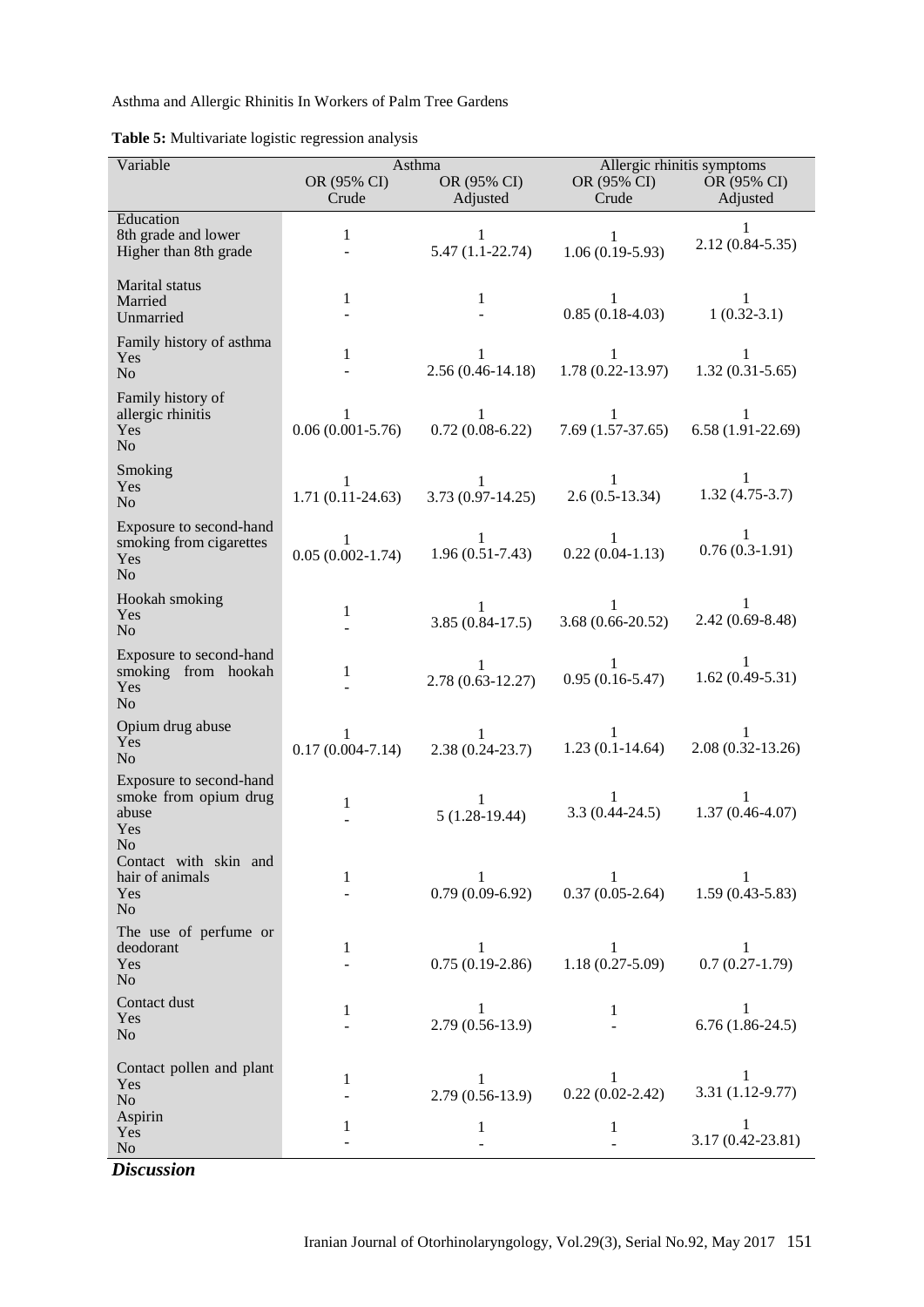Asthma and Allergic Rhinitis In Workers of Palm Tree Gardens

| Table 5: Multivariate logistic regression analysis |  |  |
|----------------------------------------------------|--|--|
|                                                    |  |  |

| Variable                                                                    | Asthma                    |                                      | Allergic rhinitis symptoms        |                          |
|-----------------------------------------------------------------------------|---------------------------|--------------------------------------|-----------------------------------|--------------------------|
|                                                                             | OR (95% CI)<br>Crude      | OR (95% CI)<br>Adjusted              | OR (95% CI)<br>Crude              | OR (95% CI)<br>Adjusted  |
| Education                                                                   |                           |                                      |                                   |                          |
| 8th grade and lower<br>Higher than 8th grade                                | $\mathbf{1}$              | 1<br>$5.47(1.1 - 22.74)$             | $\mathbf{1}$<br>$1.06(0.19-5.93)$ | 1<br>$2.12(0.84 - 5.35)$ |
| Marital status<br>Married<br>Unmarried                                      | 1                         | 1                                    | 1<br>$0.85(0.18-4.03)$            | 1<br>$1(0.32-3.1)$       |
| Family history of asthma<br>Yes<br>No                                       | 1                         | 1<br>$2.56(0.46 - 14.18)$            | 1<br>$1.78(0.22 - 13.97)$         | 1<br>$1.32(0.31 - 5.65)$ |
| Family history of<br>allergic rhinitis<br><b>Yes</b><br>N <sub>o</sub>      | 1<br>$0.06(0.001 - 5.76)$ | 1<br>$0.72(0.08-6.22)$               | 1<br>$7.69(1.57-37.65)$           | 1<br>$6.58(1.91-22.69)$  |
| Smoking<br>Yes<br>N <sub>o</sub>                                            | 1<br>$1.71(0.11-24.63)$   | 1<br>$3.73(0.97-14.25)$              | 1<br>$2.6(0.5-13.34)$             | 1<br>$1.32(4.75-3.7)$    |
| Exposure to second-hand<br>smoking from cigarettes<br>Yes<br>N <sub>o</sub> | 1<br>$0.05(0.002 - 1.74)$ | 1<br>$1.96(0.51 - 7.43)$             | 1<br>$0.22(0.04-1.13)$            | 1<br>$0.76(0.3-1.91)$    |
| Hookah smoking<br>Yes<br>N <sub>o</sub>                                     | 1                         | 1<br>$3.85(0.84-17.5)$               | $3.68(0.66-20.52)$                | 1<br>$2.42(0.69 - 8.48)$ |
| Exposure to second-hand<br>smoking from hookah<br>Yes<br>No                 | 1                         | $\mathbf{1}$<br>$2.78(0.63 - 12.27)$ | 1<br>$0.95(0.16-5.47)$            | 1<br>$1.62(0.49-5.31)$   |
| Opium drug abuse<br>Yes<br>N <sub>o</sub>                                   | 1<br>$0.17(0.004 - 7.14)$ | 1<br>$2.38(0.24-23.7)$               | 1<br>$1.23(0.1-14.64)$            | 1<br>$2.08(0.32-13.26)$  |
| Exposure to second-hand<br>smoke from opium drug<br>abuse<br>Yes<br>No      | 1                         | 1<br>$5(1.28-19.44)$                 | 1<br>$3.3(0.44 - 24.5)$           | 1<br>$1.37(0.46 - 4.07)$ |
| Contact with skin and<br>hair of animals<br>Yes<br>No                       | 1                         | 1<br>$0.79(0.09-6.92)$               | 1<br>$0.37(0.05-2.64)$            | 1<br>$1.59(0.43 - 5.83)$ |
| The use of perfume or<br>deodorant<br>Yes<br>N <sub>o</sub>                 | 1                         | 1<br>$0.75(0.19-2.86)$               | 1<br>$1.18(0.27 - 5.09)$          | 1<br>$0.7(0.27-1.79)$    |
| Contact dust<br>Yes<br>N <sub>o</sub>                                       | 1                         | 1<br>$2.79(0.56-13.9)$               | 1                                 | 1<br>$6.76(1.86-24.5)$   |
| Contact pollen and plant<br>Yes<br>No                                       | 1                         | 1<br>$2.79(0.56-13.9)$               | 1<br>$0.22(0.02-2.42)$            | 1<br>3.31 (1.12-9.77)    |
| Aspirin<br>Yes<br>No                                                        | 1                         | 1                                    | 1                                 | 1<br>3.17 (0.42-23.81)   |

*Discussion*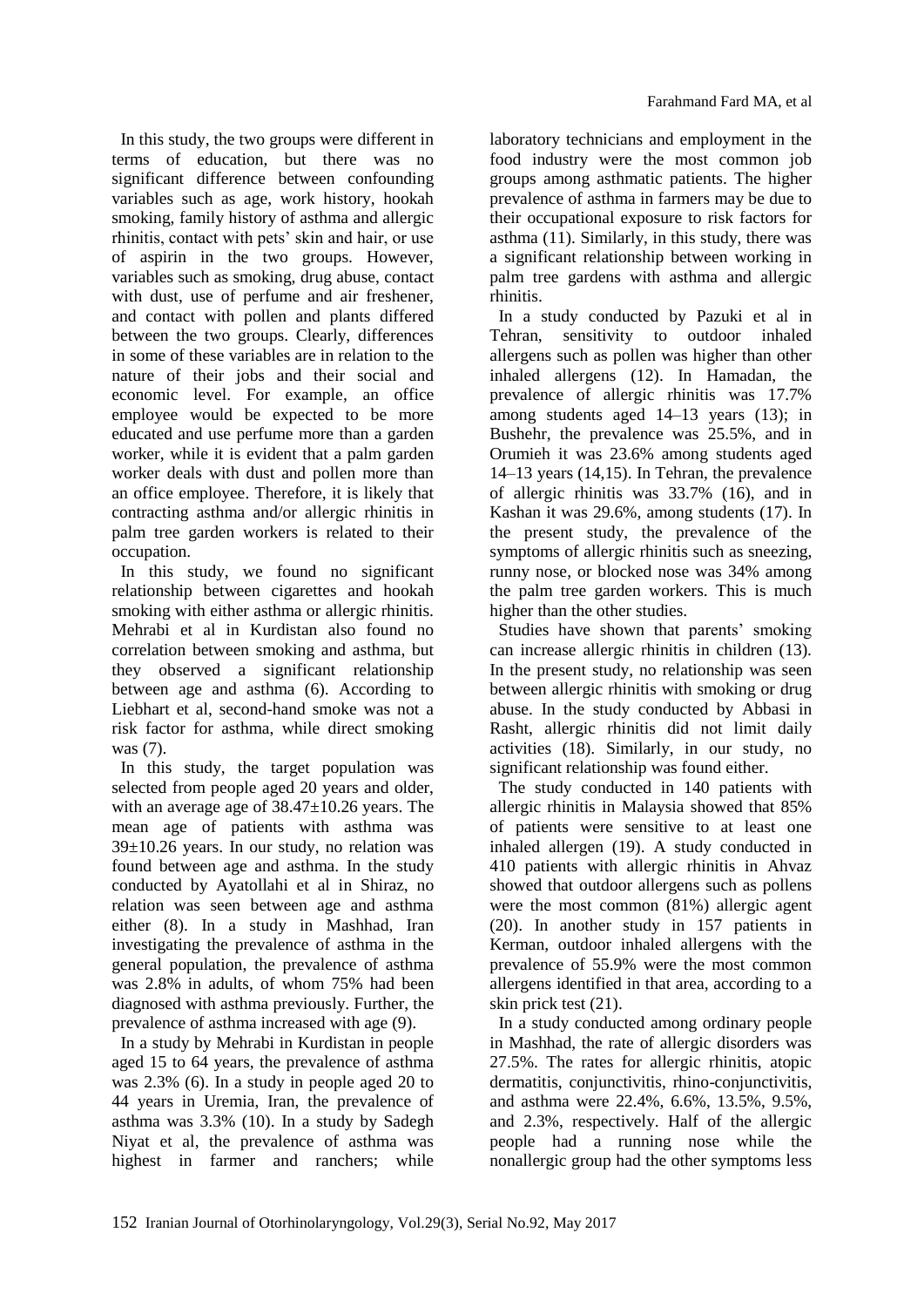In this study, the two groups were different in terms of education, but there was no significant difference between confounding variables such as age, work history, hookah smoking, family history of asthma and allergic rhinitis, contact with pets' skin and hair, or use of aspirin in the two groups. However, variables such as smoking, drug abuse, contact with dust, use of perfume and air freshener, and contact with pollen and plants differed between the two groups. Clearly, differences in some of these variables are in relation to the nature of their jobs and their social and economic level. For example, an office employee would be expected to be more educated and use perfume more than a garden worker, while it is evident that a palm garden worker deals with dust and pollen more than an office employee. Therefore, it is likely that contracting asthma and/or allergic rhinitis in palm tree garden workers is related to their occupation.

In this study, we found no significant relationship between cigarettes and hookah smoking with either asthma or allergic rhinitis. Mehrabi et al in Kurdistan also found no correlation between smoking and asthma, but they observed a significant relationship between age and asthma (6). According to Liebhart et al, second-hand smoke was not a risk factor for asthma, while direct smoking was (7).

In this study, the target population was selected from people aged 20 years and older, with an average age of  $38.47\pm10.26$  years. The mean age of patients with asthma was  $39\pm10.26$  years. In our study, no relation was found between age and asthma. In the study conducted by Ayatollahi et al in Shiraz, no relation was seen between age and asthma either (8). In a study in Mashhad, Iran investigating the prevalence of asthma in the general population, the prevalence of asthma was 2.8% in adults, of whom 75% had been diagnosed with asthma previously. Further, the prevalence of asthma increased with age (9).

In a study by Mehrabi in Kurdistan in people aged 15 to 64 years, the prevalence of asthma was 2.3% (6). In a study in people aged 20 to 44 years in Uremia, Iran, the prevalence of asthma was 3.3% (10). In a study by Sadegh Niyat et al, the prevalence of asthma was highest in farmer and ranchers; while

laboratory technicians and employment in the food industry were the most common job groups among asthmatic patients. The higher prevalence of asthma in farmers may be due to their occupational exposure to risk factors for asthma (11). Similarly, in this study, there was a significant relationship between working in palm tree gardens with asthma and allergic rhinitis.

In a study conducted by Pazuki et al in Tehran, sensitivity to outdoor inhaled allergens such as pollen was higher than other inhaled allergens (12). In Hamadan, the prevalence of allergic rhinitis was 17.7% among students aged 14–13 years (13); in Bushehr, the prevalence was 25.5%, and in Orumieh it was 23.6% among students aged 14–13 years (14,15). In Tehran, the prevalence of allergic rhinitis was 33.7% (16), and in Kashan it was 29.6%, among students (17). In the present study, the prevalence of the symptoms of allergic rhinitis such as sneezing, runny nose, or blocked nose was 34% among the palm tree garden workers. This is much higher than the other studies.

Studies have shown that parents' smoking can increase allergic rhinitis in children (13). In the present study, no relationship was seen between allergic rhinitis with smoking or drug abuse. In the study conducted by Abbasi in Rasht, allergic rhinitis did not limit daily activities (18). Similarly, in our study, no significant relationship was found either.

The study conducted in 140 patients with allergic rhinitis in Malaysia showed that 85% of patients were sensitive to at least one inhaled allergen (19). A study conducted in 410 patients with allergic rhinitis in Ahvaz showed that outdoor allergens such as pollens were the most common (81%) allergic agent (20). In another study in 157 patients in Kerman, outdoor inhaled allergens with the prevalence of 55.9% were the most common allergens identified in that area, according to a skin prick test (21).

In a study conducted among ordinary people in Mashhad, the rate of allergic disorders was 27.5%. The rates for allergic rhinitis, atopic dermatitis, conjunctivitis, rhino-conjunctivitis, and asthma were 22.4%, 6.6%, 13.5%, 9.5%, and 2.3%, respectively. Half of the allergic people had a running nose while the nonallergic group had the other symptoms less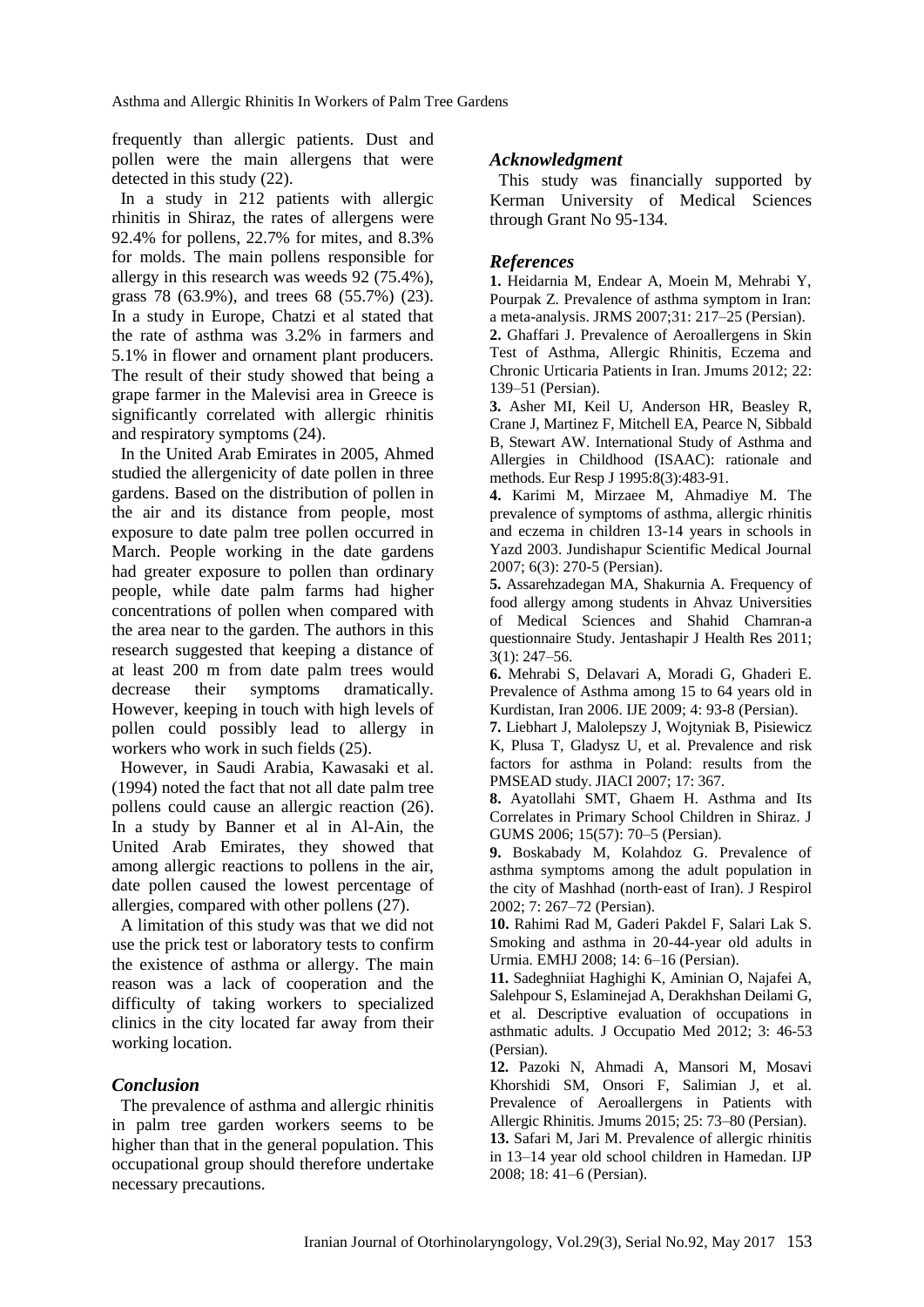Asthma and Allergic Rhinitis In Workers of Palm Tree Gardens

frequently than allergic patients. Dust and pollen were the main allergens that were detected in this study (22).

In a study in 212 patients with allergic rhinitis in Shiraz, the rates of allergens were 92.4% for pollens, 22.7% for mites, and 8.3% for molds. The main pollens responsible for allergy in this research was weeds 92 (75.4%), grass 78 (63.9%), and trees 68 (55.7%) (23). In a study in Europe, Chatzi et al stated that the rate of asthma was 3.2% in farmers and 5.1% in flower and ornament plant producers. The result of their study showed that being a grape farmer in the Malevisi area in Greece is significantly correlated with allergic rhinitis and respiratory symptoms (24).

In the United Arab Emirates in 2005, Ahmed studied the allergenicity of date pollen in three gardens. Based on the distribution of pollen in the air and its distance from people, most exposure to date palm tree pollen occurred in March. People working in the date gardens had greater exposure to pollen than ordinary people, while date palm farms had higher concentrations of pollen when compared with the area near to the garden. The authors in this research suggested that keeping a distance of at least 200 m from date palm trees would decrease their symptoms dramatically. However, keeping in touch with high levels of pollen could possibly lead to allergy in workers who work in such fields (25).

However, in Saudi Arabia, Kawasaki et al. (1994) noted the fact that not all date palm tree pollens could cause an allergic reaction (26). In a study by Banner et al in Al-Ain, the United Arab Emirates, they showed that among allergic reactions to pollens in the air, date pollen caused the lowest percentage of allergies, compared with other pollens (27).

A limitation of this study was that we did not use the prick test or laboratory tests to confirm the existence of asthma or allergy. The main reason was a lack of cooperation and the difficulty of taking workers to specialized clinics in the city located far away from their working location.

# *Conclusion*

The prevalence of asthma and allergic rhinitis in palm tree garden workers seems to be higher than that in the general population. This occupational group should therefore undertake necessary precautions.

# *Acknowledgment*

This study was financially supported by Kerman University of Medical Sciences through Grant No 95-134.

### *References*

**1.** Heidarnia M, Endear A, Moein M, Mehrabi Y, Pourpak Z. Prevalence of asthma symptom in Iran: a meta-analysis. JRMS 2007;31: 217–25 (Persian). **2.** Ghaffari J. Prevalence of Aeroallergens in Skin Test of Asthma, Allergic Rhinitis, Eczema and Chronic Urticaria Patients in Iran. Jmums 2012; 22: 139–51 (Persian).

**3.** Asher MI, Keil U, Anderson HR, Beasley R, Crane J, Martinez F, Mitchell EA, Pearce N, Sibbald B, Stewart AW. International Study of Asthma and Allergies in Childhood (ISAAC): rationale and methods. Eur Resp J 1995:8(3):483-91.

**4.** Karimi M, Mirzaee M, Ahmadiye M. The prevalence of symptoms of asthma, allergic rhinitis and eczema in children 13-14 years in schools in Yazd 2003. [Jundishapur Scientific Medical Journal](http://en.journals.sid.ir/JournalList.aspx?ID=252) 2007; 6(3): 270-5 (Persian).

**5.** Assarehzadegan MA, Shakurnia A. Frequency of food allergy among students in Ahvaz Universities of Medical Sciences and Shahid Chamran-a questionnaire Study. Jentashapir J Health Res 2011; 3(1): 247–56.

**6.** Mehrabi S, Delavari A, Moradi G, Ghaderi E. Prevalence of Asthma among 15 to 64 years old in Kurdistan, Iran 2006. IJE 2009; 4: 93-8 (Persian).

**7.** Liebhart J, Malolepszy J, Wojtyniak B, Pisiewicz K, Plusa T, Gladysz U, et al. Prevalence and risk factors for asthma in Poland: results from the PMSEAD study. JIACI 2007; 17: 367.

**8.** Ayatollahi SMT, Ghaem H. Asthma and Its Correlates in Primary School Children in Shiraz. J GUMS 2006; 15(57): 70–5 (Persian).

**9.** Boskabady M, Kolahdoz G. Prevalence of asthma symptoms among the adult population in the city of Mashhad (north‐east of Iran). J Respirol 2002; 7: 267–72 (Persian).

**10.** Rahimi Rad M, Gaderi Pakdel F, Salari Lak S. Smoking and asthma in 20-44-year old adults in Urmia. EMHJ 2008; 14: 6–16 (Persian).

**11.** Sadeghniiat Haghighi K, Aminian O, Najafei A, Salehpour S, Eslaminejad A, Derakhshan Deilami G, et al. Descriptive evaluation of occupations in asthmatic adults. J Occupatio Med 2012; 3: 46-53 (Persian).

**12.** Pazoki N, Ahmadi A, Mansori M, Mosavi Khorshidi SM, Onsori F, Salimian J, et al. Prevalence of Aeroallergens in Patients with Allergic Rhinitis. Jmums 2015; 25: 73–80 (Persian).

**13.** Safari M, Jari M. Prevalence of allergic rhinitis in 13–14 year old school children in Hamedan. IJP 2008; 18: 41–6 (Persian).